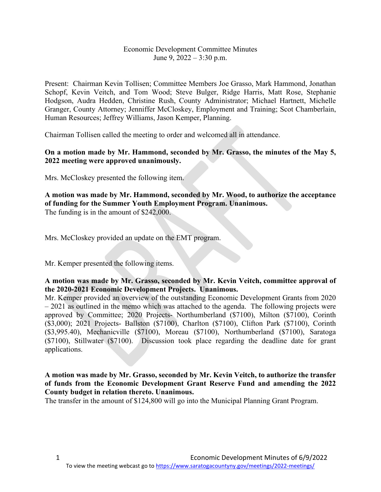## Economic Development Committee Minutes June 9, 2022 – 3:30 p.m.

Present: Chairman Kevin Tollisen; Committee Members Joe Grasso, Mark Hammond, Jonathan Schopf, Kevin Veitch, and Tom Wood; Steve Bulger, Ridge Harris, Matt Rose, Stephanie Hodgson, Audra Hedden, Christine Rush, County Administrator; Michael Hartnett, Michelle Granger, County Attorney; Jenniffer McCloskey, Employment and Training; Scot Chamberlain, Human Resources; Jeffrey Williams, Jason Kemper, Planning.

Chairman Tollisen called the meeting to order and welcomed all in attendance.

## **On a motion made by Mr. Hammond, seconded by Mr. Grasso, the minutes of the May 5, 2022 meeting were approved unanimously.**

Mrs. McCloskey presented the following item.

**A motion was made by Mr. Hammond, seconded by Mr. Wood, to authorize the acceptance of funding for the Summer Youth Employment Program. Unanimous.** The funding is in the amount of \$242,000.

Mrs. McCloskey provided an update on the EMT program.

Mr. Kemper presented the following items.

#### **A motion was made by Mr. Grasso, seconded by Mr. Kevin Veitch, committee approval of the 2020-2021 Economic Development Projects. Unanimous.**

Mr. Kemper provided an overview of the outstanding Economic Development Grants from 2020 – 2021 as outlined in the memo which was attached to the agenda. The following projects were approved by Committee; 2020 Projects- Northumberland (\$7100), Milton (\$7100), Corinth (\$3,000); 2021 Projects- Ballston (\$7100), Charlton (\$7100), Clifton Park (\$7100), Corinth (\$3,995.40), Mechanicville (\$7100), Moreau (\$7100), Northumberland (\$7100), Saratoga (\$7100), Stillwater (\$7100). Discussion took place regarding the deadline date for grant applications.

## **A motion was made by Mr. Grasso, seconded by Mr. Kevin Veitch, to authorize the transfer of funds from the Economic Development Grant Reserve Fund and amending the 2022 County budget in relation thereto. Unanimous.**

The transfer in the amount of \$124,800 will go into the Municipal Planning Grant Program.